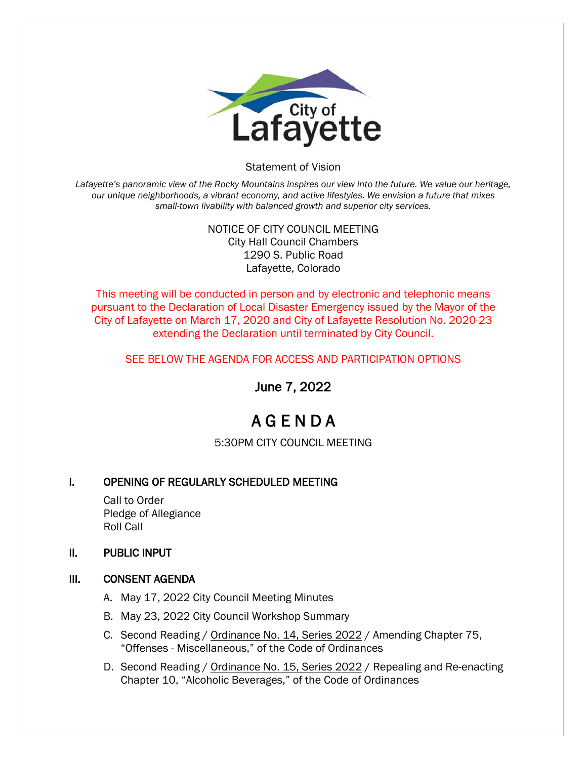

#### Statement of Vision

Lafayette's panoramic view of the Rocky Mountains inspires our view into the future. We value our heritage, *our unique neighborhoods, a vibrant economy, and active lifestyles. We envision a future that mixes small-town livability with balanced growth and superior city services.*

### NOTICE OF CITY COUNCIL MEETING City Hall Council Chambers 1290 S. Public Road Lafayette, Colorado

This meeting will be conducted in person and by electronic and telephonic means pursuant to the Declaration of Local Disaster Emergency issued by the Mayor of the City of Lafayette on March 17, 2020 and City of Lafayette Resolution No. 2020-23 extending the Declaration until terminated by City Council.

### SEE BELOW THE AGENDA FOR ACCESS AND PARTICIPATION OPTIONS

June 7, 2022

# A G E N D A

5:30PM CITY COUNCIL MEETING

## I. OPENING OF REGULARLY SCHEDULED MEETING

 Call to Order Pledge of Allegiance Roll Call

#### II. PUBLIC INPUT

#### III. CONSENT AGENDA

- A. May 17, 2022 City Council Meeting Minutes
- B. May 23, 2022 City Council Workshop Summary
- C. Second Reading / Ordinance No. 14, Series 2022 / Amending Chapter 75, "Offenses - Miscellaneous," of the Code of Ordinances
- D. Second Reading / Ordinance No. 15, Series 2022 / Repealing and Re-enacting Chapter 10, "Alcoholic Beverages," of the Code of Ordinances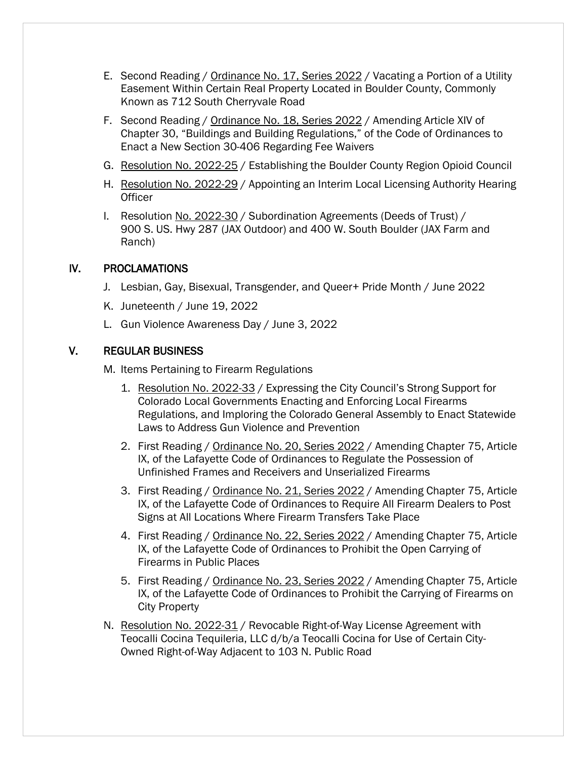- E. Second Reading / Ordinance No. 17, Series 2022 / Vacating a Portion of a Utility Easement Within Certain Real Property Located in Boulder County, Commonly Known as 712 South Cherryvale Road
- F. Second Reading / Ordinance No. 18, Series 2022 / Amending Article XIV of Chapter 30, "Buildings and Building Regulations," of the Code of Ordinances to Enact a New Section 30-406 Regarding Fee Waivers
- G. Resolution No. 2022-25 / Establishing the Boulder County Region Opioid Council
- H. Resolution No. 2022-29 / Appointing an Interim Local Licensing Authority Hearing **Officer**
- I. Resolution No. 2022-30 / Subordination Agreements (Deeds of Trust) / 900 S. US. Hwy 287 (JAX Outdoor) and 400 W. South Boulder (JAX Farm and Ranch)

## IV. PROCLAMATIONS

- J. Lesbian, Gay, Bisexual, Transgender, and Queer+ Pride Month / June 2022
- K. Juneteenth / June 19, 2022
- L. Gun Violence Awareness Day / June 3, 2022

## V. REGULAR BUSINESS

M. Items Pertaining to Firearm Regulations

- 1. Resolution No. 2022-33 / Expressing the City Council's Strong Support for Colorado Local Governments Enacting and Enforcing Local Firearms Regulations, and Imploring the Colorado General Assembly to Enact Statewide Laws to Address Gun Violence and Prevention
- 2. First Reading / Ordinance No. 20, Series 2022 / Amending Chapter 75, Article IX, of the Lafayette Code of Ordinances to Regulate the Possession of Unfinished Frames and Receivers and Unserialized Firearms
- 3. First Reading / Ordinance No. 21, Series 2022 / Amending Chapter 75, Article IX, of the Lafayette Code of Ordinances to Require All Firearm Dealers to Post Signs at All Locations Where Firearm Transfers Take Place
- 4. First Reading / Ordinance No. 22, Series 2022 / Amending Chapter 75, Article IX, of the Lafayette Code of Ordinances to Prohibit the Open Carrying of Firearms in Public Places
- 5. First Reading / Ordinance No. 23, Series 2022 / Amending Chapter 75, Article IX, of the Lafayette Code of Ordinances to Prohibit the Carrying of Firearms on City Property
- N. Resolution No. 2022-31 / Revocable Right-of-Way License Agreement with Teocalli Cocina Tequileria, LLC d/b/a Teocalli Cocina for Use of Certain City-Owned Right-of-Way Adjacent to 103 N. Public Road